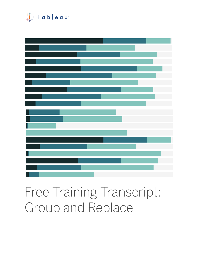

# Free Training Transcript: Group and Replace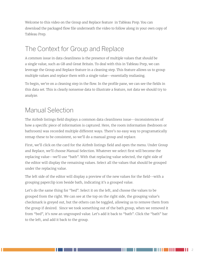Welcome to this video on the Group and Replace feature in Tableau Prep. You can download the packaged flow file underneath the video to follow along in your own copy of Tableau Prep.

# The Context for Group and Replace

A common issue in data cleanliness is the presence of multiple values that should be a single value, such as GB and Great Britain. To deal with this in Tableau Prep, we can leverage the Group and Replace feature in a cleaning step. This feature allows us to group multiple values and replace them with a single value--essentially realiasing.

To begin, we're on a cleaning step in the flow. In the profile pane, we can see the fields in this data set. This is clearly nonsense data to illustrate a feature, not data we should try to analyze.

# Manual Selection

The Airbnb listings field displays a common data cleanliness issue--inconsistencies of how a specific piece of information is captured. Here, the room information (bedroom or bathroom) was recorded multiple different ways. There's no easy way to programatically remap these to be consistent, so we'll do a manual group and replace.

First, we'll click on the card for the Airbnb listings field and open the menu. Under Group and Replace, we'll choose Manual Selection. Whatever we select first will become the replacing value--we'll use "bath". With that replacing value selected, the right side of the editor will display the remaining values. Select all the values that should be grouped under the replacing value.

The left side of the editor will display a preview of the new values for the field--with a grouping paperclip icon beside bath, indicating it's a grouped value.

Let's do the same thing for "bed". Select it on the left, and choose the values to be grouped from the right. We can see at the top on the right side, the grouping value's checkmark is greyed out, but the others can be toggled, allowing us to remove them from the group if desired. Since we took something out of the bath group, when we removed it from "bed", it's now an ungrouped value. Let's add it back to "bath". Click the "bath" bar to the left, and add it back to the group.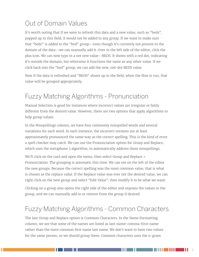# Out of Domain Values

It's worth noting that if we were to refresh this data and a new value, such as "beds", popped up in this field, it would not be added to any group. If we want to make sure that "beds" is added to the "bed" group--even though it's currently not present in the domain of the data--we can manually add it. Over in the left side of the editor, click the plus icon. We can now type in a net new value--BEDS. It shows with a red dot, indicating it's outside the domain, but otherwise it functions the same as any other value. If we click back into the "bed" group, we can add the new, red-dot BEDS value.

Now if the data is refreshed and "BEDS" shows up in the field, when the flow is run, that value will be grouped appropriately.

#### Fuzzy Matching Algorithms - Pronunciation

Manual Selection is good for instances where incorrect values are irregular or fairly different from the desired value. However, there are two options that apply algorithms to help group values.

In the Misspellings column, we have four commonly misspelled words and several variations for each word. In each instance, the incorrect versions are at least approximately pronounced the same way as the correct spelling. This is the kind of error a spell checker may catch. We can use the Pronunciation option for Group and Replace, which uses the metaphone 3 algorithm, to automatically address these misspellings.

We'll click on the card and open the menu, then select Group and Replace > Pronunciation. The grouping is automatic this time. We can see on the left of the editor the new groups. Because the correct spelling was the most common value, that is what is chosen as the replace value. If the Replace value was ever not the desired value, we can right click on the new group and select "Edit Value", then modify it to be what we want.

Clicking on a group also opens the right side of the editor and exposes the values in the group, and we can manually add to or remove from the group if desired.

# Fuzzy Matching Algorithms - Common Characters

The last Group and Replace option is Common Characters. In the Name Formatting column, we see that some of the names are listed as last-name-comma-first-name rather than the more common first name last name. We don't want to have two values for the same person, so we should group them. Common characters uses the n-gram

a ka